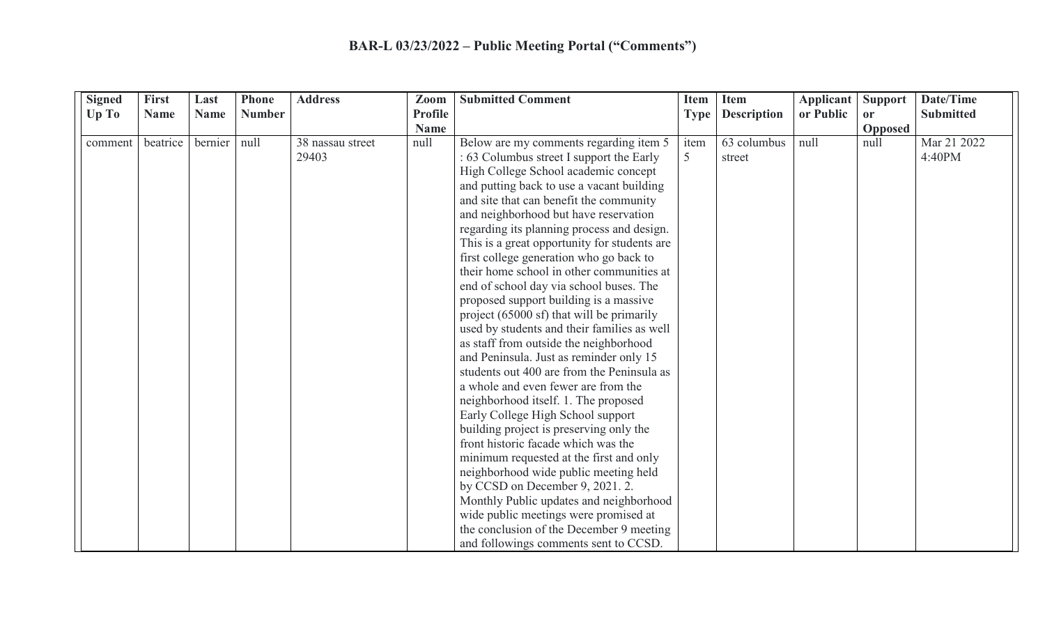| <b>Signed</b> | <b>First</b> | Last        | <b>Phone</b>  | <b>Address</b>   | Zoom           | <b>Submitted Comment</b>                     | <b>Item</b> | <b>Item</b>        | Applicant | <b>Support</b> | Date/Time        |
|---------------|--------------|-------------|---------------|------------------|----------------|----------------------------------------------|-------------|--------------------|-----------|----------------|------------------|
| Up To         | <b>Name</b>  | <b>Name</b> | <b>Number</b> |                  | <b>Profile</b> |                                              | <b>Type</b> | <b>Description</b> | or Public | <b>or</b>      | <b>Submitted</b> |
|               |              |             |               |                  | <b>Name</b>    |                                              |             |                    |           | <b>Opposed</b> |                  |
| comment       | beatrice     | bernier     | null          | 38 nassau street | null           | Below are my comments regarding item 5       | item        | 63 columbus        | null      | null           | Mar 21 2022      |
|               |              |             |               | 29403            |                | : 63 Columbus street I support the Early     | 5           | street             |           |                | 4:40PM           |
|               |              |             |               |                  |                | High College School academic concept         |             |                    |           |                |                  |
|               |              |             |               |                  |                | and putting back to use a vacant building    |             |                    |           |                |                  |
|               |              |             |               |                  |                | and site that can benefit the community      |             |                    |           |                |                  |
|               |              |             |               |                  |                | and neighborhood but have reservation        |             |                    |           |                |                  |
|               |              |             |               |                  |                | regarding its planning process and design.   |             |                    |           |                |                  |
|               |              |             |               |                  |                | This is a great opportunity for students are |             |                    |           |                |                  |
|               |              |             |               |                  |                | first college generation who go back to      |             |                    |           |                |                  |
|               |              |             |               |                  |                | their home school in other communities at    |             |                    |           |                |                  |
|               |              |             |               |                  |                | end of school day via school buses. The      |             |                    |           |                |                  |
|               |              |             |               |                  |                | proposed support building is a massive       |             |                    |           |                |                  |
|               |              |             |               |                  |                | project (65000 sf) that will be primarily    |             |                    |           |                |                  |
|               |              |             |               |                  |                | used by students and their families as well  |             |                    |           |                |                  |
|               |              |             |               |                  |                | as staff from outside the neighborhood       |             |                    |           |                |                  |
|               |              |             |               |                  |                | and Peninsula. Just as reminder only 15      |             |                    |           |                |                  |
|               |              |             |               |                  |                | students out 400 are from the Peninsula as   |             |                    |           |                |                  |
|               |              |             |               |                  |                | a whole and even fewer are from the          |             |                    |           |                |                  |
|               |              |             |               |                  |                | neighborhood itself. 1. The proposed         |             |                    |           |                |                  |
|               |              |             |               |                  |                | Early College High School support            |             |                    |           |                |                  |
|               |              |             |               |                  |                | building project is preserving only the      |             |                    |           |                |                  |
|               |              |             |               |                  |                | front historic facade which was the          |             |                    |           |                |                  |
|               |              |             |               |                  |                | minimum requested at the first and only      |             |                    |           |                |                  |
|               |              |             |               |                  |                | neighborhood wide public meeting held        |             |                    |           |                |                  |
|               |              |             |               |                  |                | by CCSD on December 9, 2021.2.               |             |                    |           |                |                  |
|               |              |             |               |                  |                | Monthly Public updates and neighborhood      |             |                    |           |                |                  |
|               |              |             |               |                  |                | wide public meetings were promised at        |             |                    |           |                |                  |
|               |              |             |               |                  |                | the conclusion of the December 9 meeting     |             |                    |           |                |                  |
|               |              |             |               |                  |                | and followings comments sent to CCSD.        |             |                    |           |                |                  |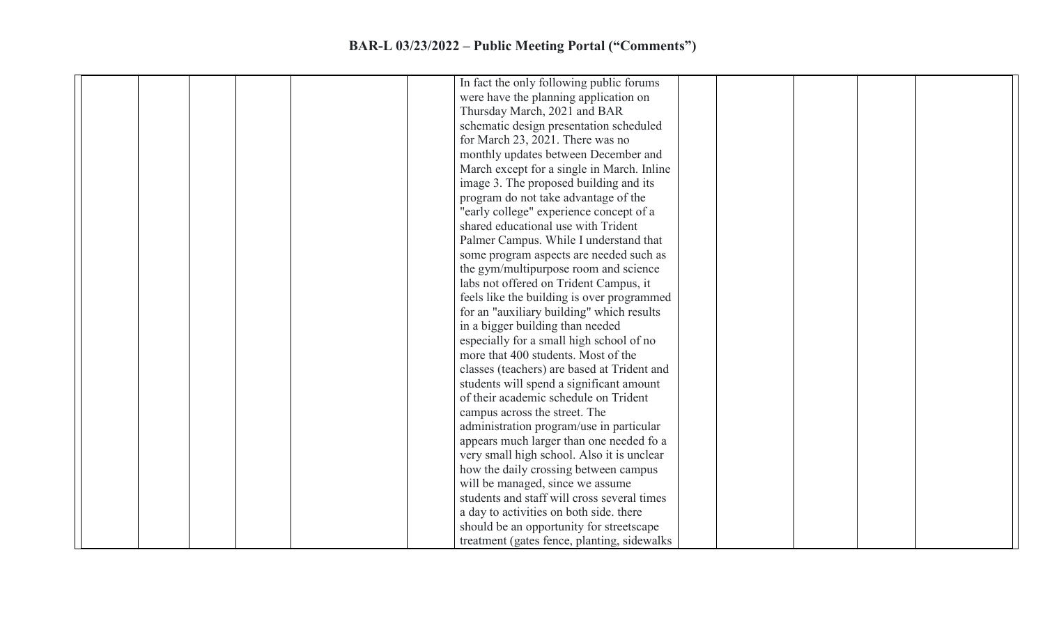|  | In fact the only following public forums    |  |
|--|---------------------------------------------|--|
|  | were have the planning application on       |  |
|  | Thursday March, 2021 and BAR                |  |
|  | schematic design presentation scheduled     |  |
|  | for March 23, 2021. There was no            |  |
|  | monthly updates between December and        |  |
|  | March except for a single in March. Inline  |  |
|  | image 3. The proposed building and its      |  |
|  | program do not take advantage of the        |  |
|  | "early college" experience concept of a     |  |
|  | shared educational use with Trident         |  |
|  | Palmer Campus. While I understand that      |  |
|  | some program aspects are needed such as     |  |
|  |                                             |  |
|  | the gym/multipurpose room and science       |  |
|  | labs not offered on Trident Campus, it      |  |
|  | feels like the building is over programmed  |  |
|  | for an "auxiliary building" which results   |  |
|  | in a bigger building than needed            |  |
|  | especially for a small high school of no    |  |
|  | more that 400 students. Most of the         |  |
|  | classes (teachers) are based at Trident and |  |
|  | students will spend a significant amount    |  |
|  | of their academic schedule on Trident       |  |
|  | campus across the street. The               |  |
|  | administration program/use in particular    |  |
|  | appears much larger than one needed fo a    |  |
|  | very small high school. Also it is unclear  |  |
|  | how the daily crossing between campus       |  |
|  | will be managed, since we assume            |  |
|  | students and staff will cross several times |  |
|  | a day to activities on both side. there     |  |
|  | should be an opportunity for streetscape    |  |
|  | treatment (gates fence, planting, sidewalks |  |
|  |                                             |  |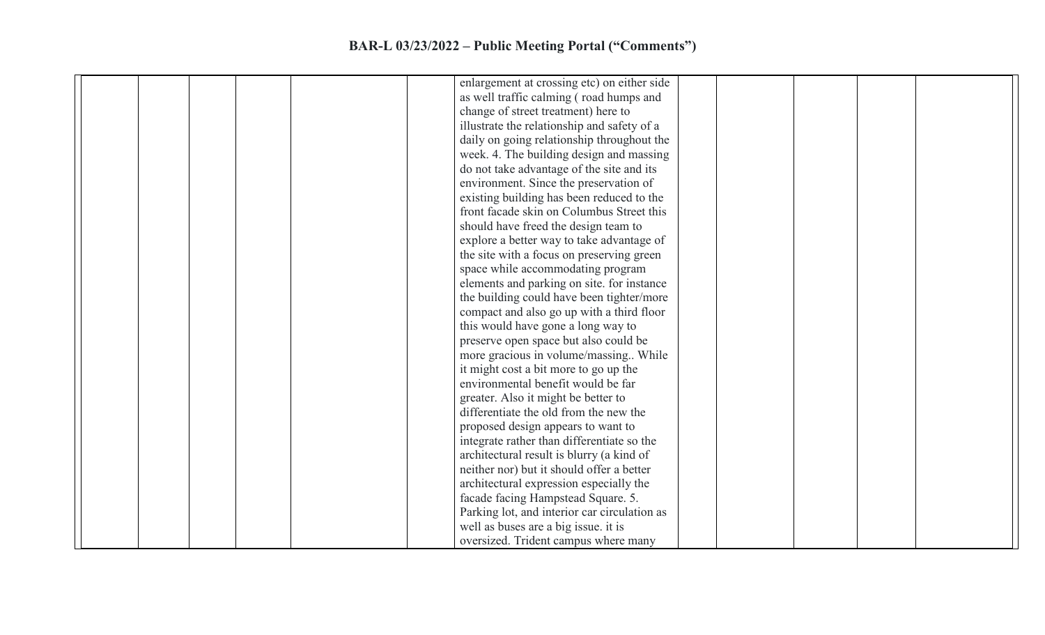| enlargement at crossing etc) on either side  |
|----------------------------------------------|
| as well traffic calming (road humps and      |
| change of street treatment) here to          |
| illustrate the relationship and safety of a  |
| daily on going relationship throughout the   |
| week. 4. The building design and massing     |
| do not take advantage of the site and its    |
| environment. Since the preservation of       |
| existing building has been reduced to the    |
| front facade skin on Columbus Street this    |
| should have freed the design team to         |
| explore a better way to take advantage of    |
| the site with a focus on preserving green    |
| space while accommodating program            |
| elements and parking on site. for instance   |
| the building could have been tighter/more    |
| compact and also go up with a third floor    |
| this would have gone a long way to           |
| preserve open space but also could be        |
| more gracious in volume/massing While        |
| it might cost a bit more to go up the        |
| environmental benefit would be far           |
| greater. Also it might be better to          |
| differentiate the old from the new the       |
| proposed design appears to want to           |
| integrate rather than differentiate so the   |
| architectural result is blurry (a kind of    |
| neither nor) but it should offer a better    |
| architectural expression especially the      |
| facade facing Hampstead Square. 5.           |
| Parking lot, and interior car circulation as |
| well as buses are a big issue. it is         |
| oversized. Trident campus where many         |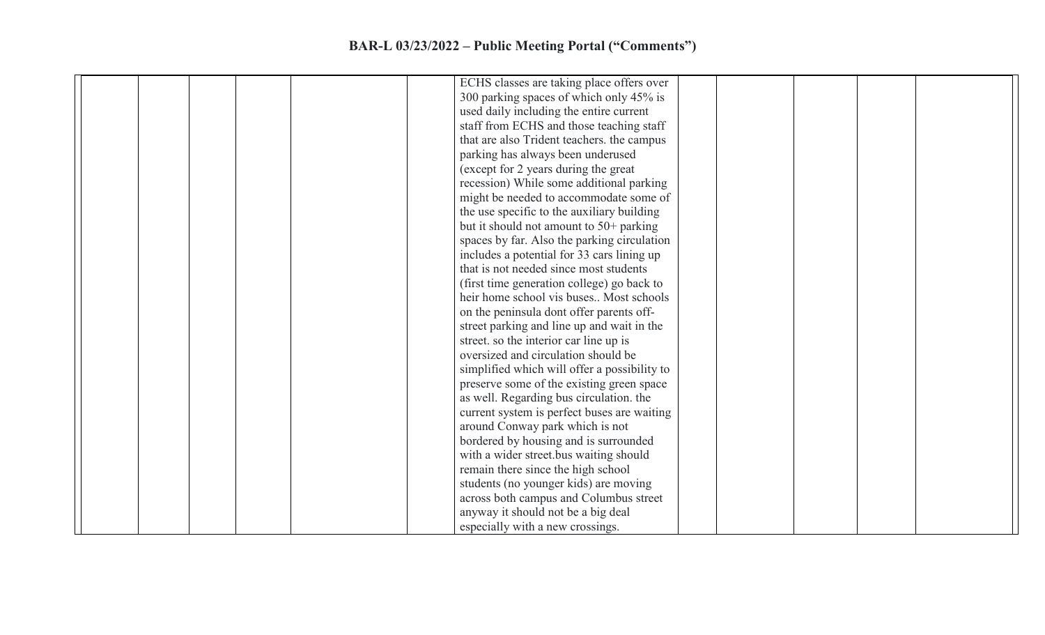|  |  | ECHS classes are taking place offers over    |  |  |
|--|--|----------------------------------------------|--|--|
|  |  | 300 parking spaces of which only 45% is      |  |  |
|  |  | used daily including the entire current      |  |  |
|  |  |                                              |  |  |
|  |  | staff from ECHS and those teaching staff     |  |  |
|  |  | that are also Trident teachers. the campus   |  |  |
|  |  | parking has always been underused            |  |  |
|  |  | (except for 2 years during the great         |  |  |
|  |  | recession) While some additional parking     |  |  |
|  |  | might be needed to accommodate some of       |  |  |
|  |  | the use specific to the auxiliary building   |  |  |
|  |  | but it should not amount to $50+$ parking    |  |  |
|  |  | spaces by far. Also the parking circulation  |  |  |
|  |  | includes a potential for 33 cars lining up   |  |  |
|  |  | that is not needed since most students       |  |  |
|  |  | (first time generation college) go back to   |  |  |
|  |  | heir home school vis buses Most schools      |  |  |
|  |  | on the peninsula dont offer parents off-     |  |  |
|  |  | street parking and line up and wait in the   |  |  |
|  |  | street. so the interior car line up is       |  |  |
|  |  | oversized and circulation should be          |  |  |
|  |  | simplified which will offer a possibility to |  |  |
|  |  | preserve some of the existing green space    |  |  |
|  |  | as well. Regarding bus circulation. the      |  |  |
|  |  | current system is perfect buses are waiting  |  |  |
|  |  | around Conway park which is not              |  |  |
|  |  | bordered by housing and is surrounded        |  |  |
|  |  | with a wider street.bus waiting should       |  |  |
|  |  | remain there since the high school           |  |  |
|  |  | students (no younger kids) are moving        |  |  |
|  |  | across both campus and Columbus street       |  |  |
|  |  | anyway it should not be a big deal           |  |  |
|  |  | especially with a new crossings.             |  |  |
|  |  |                                              |  |  |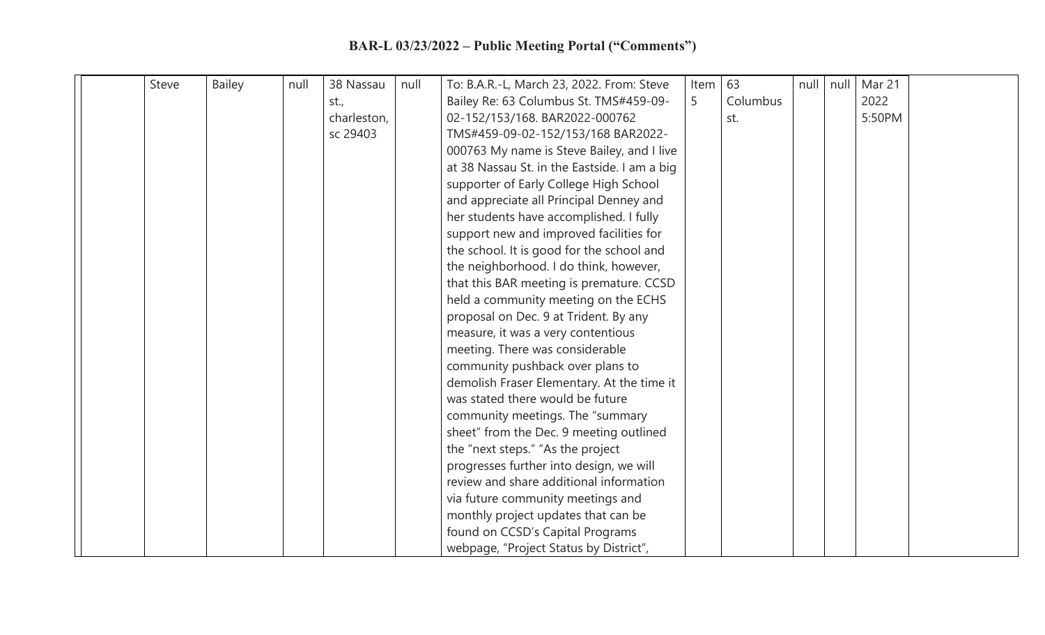|  | Steve | <b>Bailey</b> | null | 38 Nassau   | null |                                    | To: B.A.R.-L, March 23, 2022. From: Steve    | Item | 63       | null | null | Mar 21 |  |
|--|-------|---------------|------|-------------|------|------------------------------------|----------------------------------------------|------|----------|------|------|--------|--|
|  |       |               |      | st.,        |      |                                    | Bailey Re: 63 Columbus St. TMS#459-09-       | 5    | Columbus |      |      | 2022   |  |
|  |       |               |      | charleston, |      | 02-152/153/168. BAR2022-000762     |                                              |      | st.      |      |      | 5:50PM |  |
|  |       |               |      | sc 29403    |      |                                    | TMS#459-09-02-152/153/168 BAR2022-           |      |          |      |      |        |  |
|  |       |               |      |             |      |                                    | 000763 My name is Steve Bailey, and I live   |      |          |      |      |        |  |
|  |       |               |      |             |      |                                    | at 38 Nassau St. in the Eastside. I am a big |      |          |      |      |        |  |
|  |       |               |      |             |      |                                    | supporter of Early College High School       |      |          |      |      |        |  |
|  |       |               |      |             |      |                                    | and appreciate all Principal Denney and      |      |          |      |      |        |  |
|  |       |               |      |             |      |                                    | her students have accomplished. I fully      |      |          |      |      |        |  |
|  |       |               |      |             |      |                                    | support new and improved facilities for      |      |          |      |      |        |  |
|  |       |               |      |             |      |                                    | the school. It is good for the school and    |      |          |      |      |        |  |
|  |       |               |      |             |      |                                    | the neighborhood. I do think, however,       |      |          |      |      |        |  |
|  |       |               |      |             |      |                                    | that this BAR meeting is premature. CCSD     |      |          |      |      |        |  |
|  |       |               |      |             |      |                                    | held a community meeting on the ECHS         |      |          |      |      |        |  |
|  |       |               |      |             |      |                                    | proposal on Dec. 9 at Trident. By any        |      |          |      |      |        |  |
|  |       |               |      |             |      | measure, it was a very contentious |                                              |      |          |      |      |        |  |
|  |       |               |      |             |      | meeting. There was considerable    |                                              |      |          |      |      |        |  |
|  |       |               |      |             |      | community pushback over plans to   |                                              |      |          |      |      |        |  |
|  |       |               |      |             |      |                                    | demolish Fraser Elementary. At the time it   |      |          |      |      |        |  |
|  |       |               |      |             |      | was stated there would be future   |                                              |      |          |      |      |        |  |
|  |       |               |      |             |      |                                    | community meetings. The "summary             |      |          |      |      |        |  |
|  |       |               |      |             |      |                                    | sheet" from the Dec. 9 meeting outlined      |      |          |      |      |        |  |
|  |       |               |      |             |      | the "next steps." "As the project  |                                              |      |          |      |      |        |  |
|  |       |               |      |             |      |                                    | progresses further into design, we will      |      |          |      |      |        |  |
|  |       |               |      |             |      |                                    | review and share additional information      |      |          |      |      |        |  |
|  |       |               |      |             |      | via future community meetings and  |                                              |      |          |      |      |        |  |
|  |       |               |      |             |      |                                    | monthly project updates that can be          |      |          |      |      |        |  |
|  |       |               |      |             |      | found on CCSD's Capital Programs   |                                              |      |          |      |      |        |  |
|  |       |               |      |             |      |                                    | webpage, "Project Status by District",       |      |          |      |      |        |  |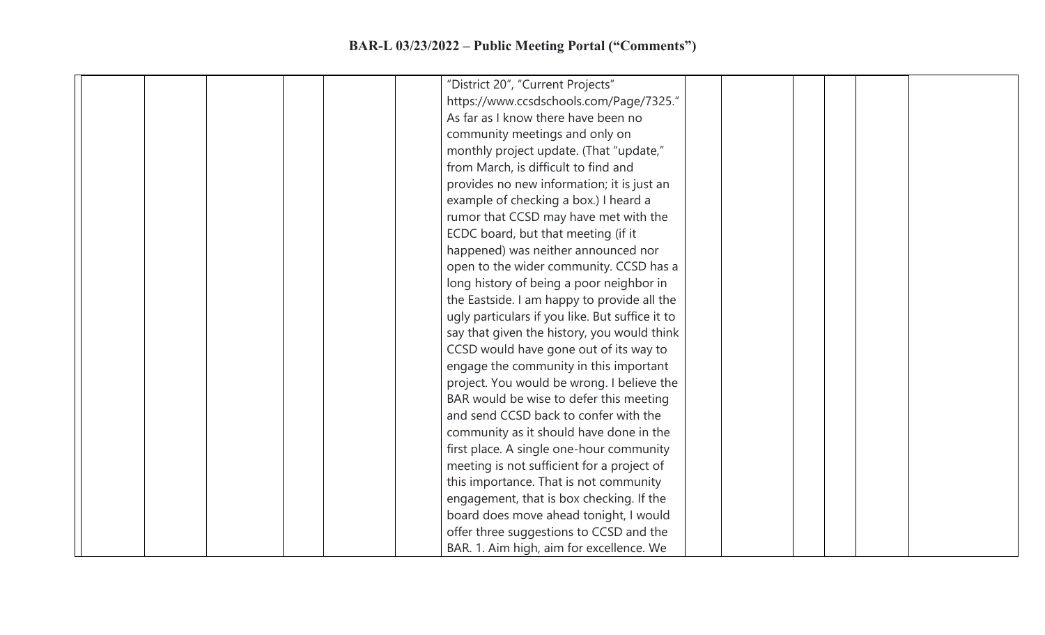| "District 20", "Current Projects"               |
|-------------------------------------------------|
| https://www.ccsdschools.com/Page/7325."         |
| As far as I know there have been no             |
| community meetings and only on                  |
| monthly project update. (That "update,"         |
| from March, is difficult to find and            |
| provides no new information; it is just an      |
| example of checking a box.) I heard a           |
| rumor that CCSD may have met with the           |
| ECDC board, but that meeting (if it             |
| happened) was neither announced nor             |
| open to the wider community. CCSD has a         |
| long history of being a poor neighbor in        |
| the Eastside. I am happy to provide all the     |
| ugly particulars if you like. But suffice it to |
| say that given the history, you would think     |
| CCSD would have gone out of its way to          |
| engage the community in this important          |
| project. You would be wrong. I believe the      |
| BAR would be wise to defer this meeting         |
| and send CCSD back to confer with the           |
| community as it should have done in the         |
| first place. A single one-hour community        |
| meeting is not sufficient for a project of      |
| this importance. That is not community          |
| engagement, that is box checking. If the        |
| board does move ahead tonight, I would          |
| offer three suggestions to CCSD and the         |
| BAR. 1. Aim high, aim for excellence. We        |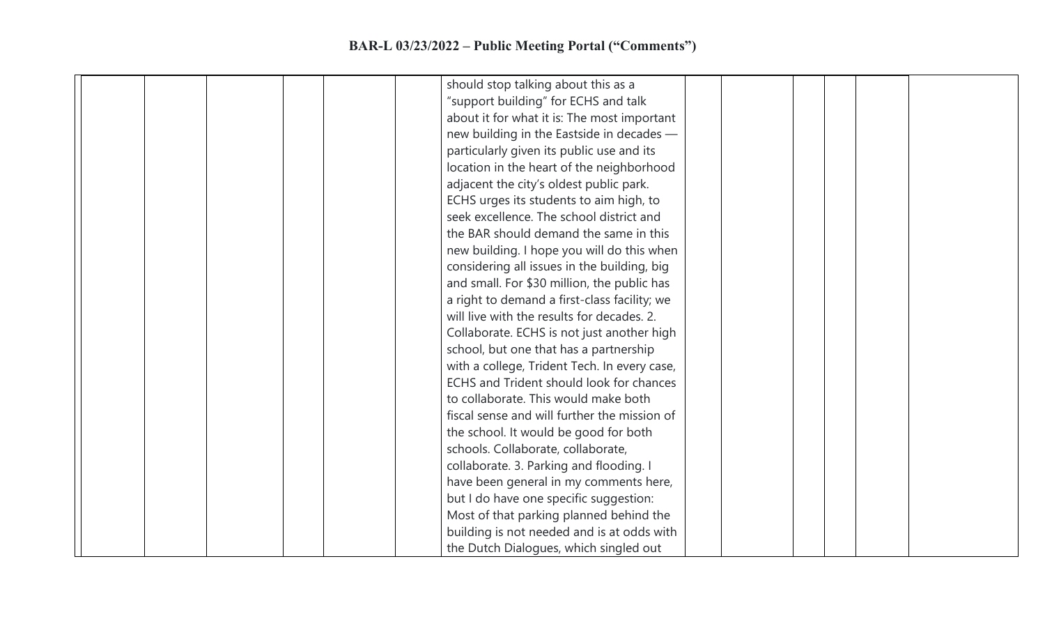|  |  |  | should stop talking about this as a          |  |  |  |
|--|--|--|----------------------------------------------|--|--|--|
|  |  |  | "support building" for ECHS and talk         |  |  |  |
|  |  |  | about it for what it is: The most important  |  |  |  |
|  |  |  | new building in the Eastside in decades -    |  |  |  |
|  |  |  | particularly given its public use and its    |  |  |  |
|  |  |  | location in the heart of the neighborhood    |  |  |  |
|  |  |  | adjacent the city's oldest public park.      |  |  |  |
|  |  |  | ECHS urges its students to aim high, to      |  |  |  |
|  |  |  | seek excellence. The school district and     |  |  |  |
|  |  |  | the BAR should demand the same in this       |  |  |  |
|  |  |  | new building. I hope you will do this when   |  |  |  |
|  |  |  | considering all issues in the building, big  |  |  |  |
|  |  |  | and small. For \$30 million, the public has  |  |  |  |
|  |  |  | a right to demand a first-class facility; we |  |  |  |
|  |  |  | will live with the results for decades. 2.   |  |  |  |
|  |  |  | Collaborate. ECHS is not just another high   |  |  |  |
|  |  |  | school, but one that has a partnership       |  |  |  |
|  |  |  | with a college, Trident Tech. In every case, |  |  |  |
|  |  |  | ECHS and Trident should look for chances     |  |  |  |
|  |  |  | to collaborate. This would make both         |  |  |  |
|  |  |  | fiscal sense and will further the mission of |  |  |  |
|  |  |  | the school. It would be good for both        |  |  |  |
|  |  |  | schools. Collaborate, collaborate,           |  |  |  |
|  |  |  | collaborate. 3. Parking and flooding. I      |  |  |  |
|  |  |  | have been general in my comments here,       |  |  |  |
|  |  |  | but I do have one specific suggestion:       |  |  |  |
|  |  |  | Most of that parking planned behind the      |  |  |  |
|  |  |  | building is not needed and is at odds with   |  |  |  |
|  |  |  | the Dutch Dialogues, which singled out       |  |  |  |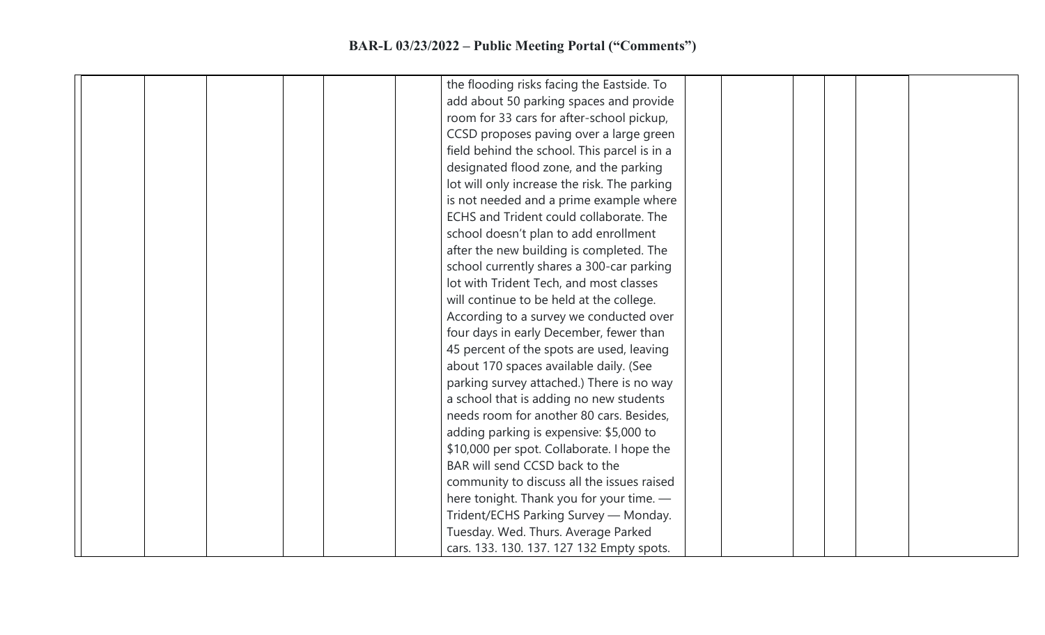| the flooding risks facing the Eastside. To   |
|----------------------------------------------|
| add about 50 parking spaces and provide      |
| room for 33 cars for after-school pickup,    |
| CCSD proposes paving over a large green      |
| field behind the school. This parcel is in a |
| designated flood zone, and the parking       |
| lot will only increase the risk. The parking |
| is not needed and a prime example where      |
| ECHS and Trident could collaborate. The      |
| school doesn't plan to add enrollment        |
| after the new building is completed. The     |
| school currently shares a 300-car parking    |
| lot with Trident Tech, and most classes      |
| will continue to be held at the college.     |
| According to a survey we conducted over      |
| four days in early December, fewer than      |
| 45 percent of the spots are used, leaving    |
| about 170 spaces available daily. (See       |
| parking survey attached.) There is no way    |
| a school that is adding no new students      |
| needs room for another 80 cars. Besides,     |
| adding parking is expensive: \$5,000 to      |
| \$10,000 per spot. Collaborate. I hope the   |
| BAR will send CCSD back to the               |
| community to discuss all the issues raised   |
| here tonight. Thank you for your time. -     |
| Trident/ECHS Parking Survey - Monday.        |
| Tuesday. Wed. Thurs. Average Parked          |
| cars. 133. 130. 137. 127 132 Empty spots.    |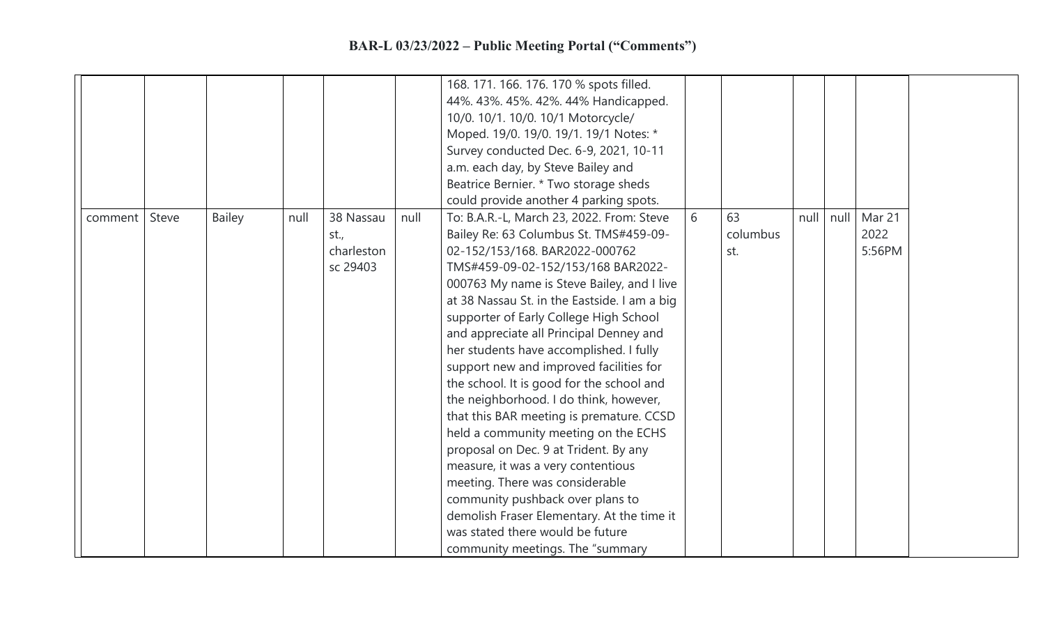|         |       |        |      |                                             |      | 168. 171. 166. 176. 170 % spots filled.<br>44%. 43%. 45%. 42%. 44% Handicapped.<br>10/0. 10/1. 10/0. 10/1 Motorcycle/<br>Moped. 19/0. 19/0. 19/1. 19/1 Notes: *                                                                                                                                                                                                                                                                                                                                                                                                                                                                                                                                                                                                                                                                                                                             |   |                       |      |      |                          |
|---------|-------|--------|------|---------------------------------------------|------|---------------------------------------------------------------------------------------------------------------------------------------------------------------------------------------------------------------------------------------------------------------------------------------------------------------------------------------------------------------------------------------------------------------------------------------------------------------------------------------------------------------------------------------------------------------------------------------------------------------------------------------------------------------------------------------------------------------------------------------------------------------------------------------------------------------------------------------------------------------------------------------------|---|-----------------------|------|------|--------------------------|
|         |       |        |      |                                             |      | Survey conducted Dec. 6-9, 2021, 10-11<br>a.m. each day, by Steve Bailey and<br>Beatrice Bernier. * Two storage sheds<br>could provide another 4 parking spots.                                                                                                                                                                                                                                                                                                                                                                                                                                                                                                                                                                                                                                                                                                                             |   |                       |      |      |                          |
| comment | Steve | Bailey | null | 38 Nassau<br>st.,<br>charleston<br>sc 29403 | null | To: B.A.R.-L, March 23, 2022. From: Steve<br>Bailey Re: 63 Columbus St. TMS#459-09-<br>02-152/153/168. BAR2022-000762<br>TMS#459-09-02-152/153/168 BAR2022-<br>000763 My name is Steve Bailey, and I live<br>at 38 Nassau St. in the Eastside. I am a big<br>supporter of Early College High School<br>and appreciate all Principal Denney and<br>her students have accomplished. I fully<br>support new and improved facilities for<br>the school. It is good for the school and<br>the neighborhood. I do think, however,<br>that this BAR meeting is premature. CCSD<br>held a community meeting on the ECHS<br>proposal on Dec. 9 at Trident. By any<br>measure, it was a very contentious<br>meeting. There was considerable<br>community pushback over plans to<br>demolish Fraser Elementary. At the time it<br>was stated there would be future<br>community meetings. The "summary | 6 | 63<br>columbus<br>st. | null | null | Mar 21<br>2022<br>5:56PM |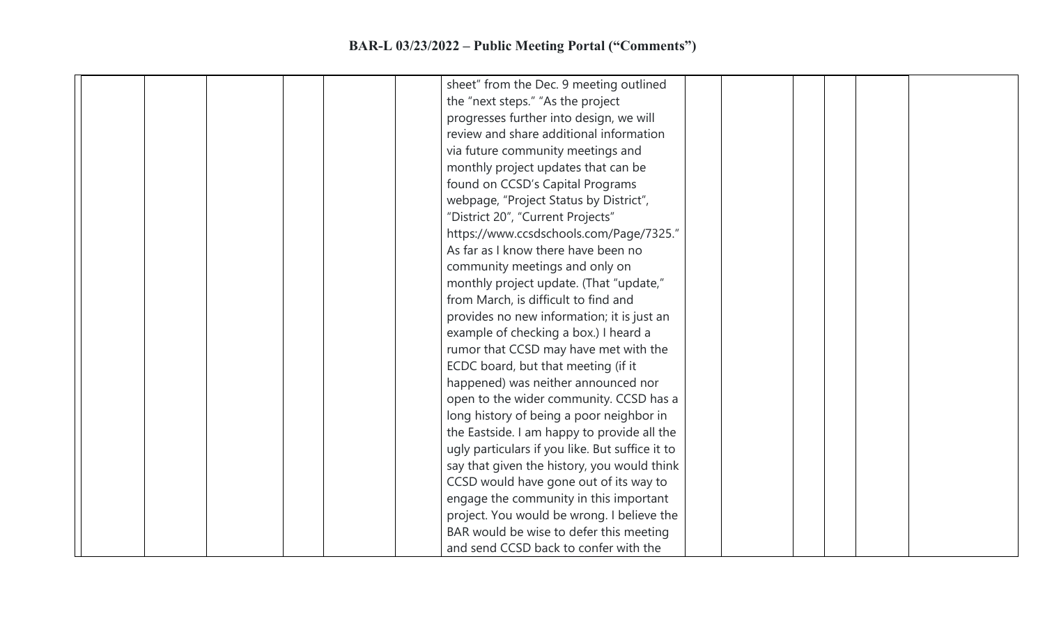| sheet" from the Dec. 9 meeting outlined         |
|-------------------------------------------------|
| the "next steps." "As the project               |
| progresses further into design, we will         |
| review and share additional information         |
| via future community meetings and               |
| monthly project updates that can be             |
| found on CCSD's Capital Programs                |
| webpage, "Project Status by District",          |
| "District 20", "Current Projects"               |
| https://www.ccsdschools.com/Page/7325."         |
| As far as I know there have been no             |
| community meetings and only on                  |
| monthly project update. (That "update,"         |
| from March, is difficult to find and            |
| provides no new information; it is just an      |
| example of checking a box.) I heard a           |
| rumor that CCSD may have met with the           |
| ECDC board, but that meeting (if it             |
| happened) was neither announced nor             |
| open to the wider community. CCSD has a         |
| long history of being a poor neighbor in        |
| the Eastside. I am happy to provide all the     |
| ugly particulars if you like. But suffice it to |
| say that given the history, you would think     |
| CCSD would have gone out of its way to          |
| engage the community in this important          |
| project. You would be wrong. I believe the      |
| BAR would be wise to defer this meeting         |
| and send CCSD back to confer with the           |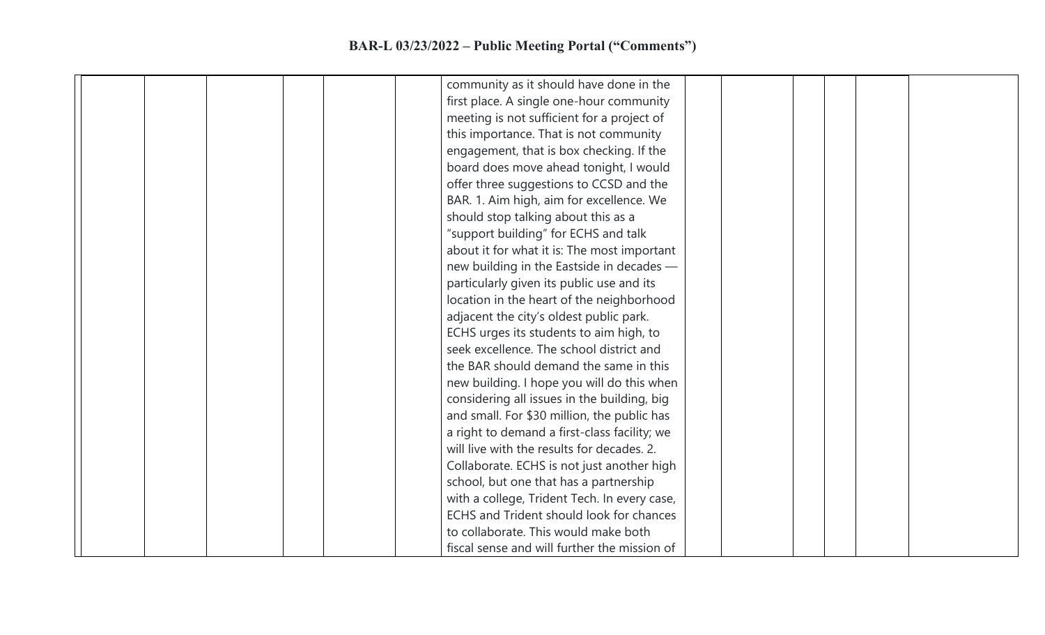| community as it should have done in the      |
|----------------------------------------------|
| first place. A single one-hour community     |
| meeting is not sufficient for a project of   |
| this importance. That is not community       |
| engagement, that is box checking. If the     |
| board does move ahead tonight, I would       |
| offer three suggestions to CCSD and the      |
| BAR. 1. Aim high, aim for excellence. We     |
| should stop talking about this as a          |
| "support building" for ECHS and talk         |
| about it for what it is: The most important  |
| new building in the Eastside in decades -    |
| particularly given its public use and its    |
| location in the heart of the neighborhood    |
| adjacent the city's oldest public park.      |
| ECHS urges its students to aim high, to      |
| seek excellence. The school district and     |
| the BAR should demand the same in this       |
| new building. I hope you will do this when   |
| considering all issues in the building, big  |
| and small. For \$30 million, the public has  |
| a right to demand a first-class facility; we |
| will live with the results for decades. 2.   |
|                                              |
| Collaborate. ECHS is not just another high   |
| school, but one that has a partnership       |
| with a college, Trident Tech. In every case, |
| ECHS and Trident should look for chances     |
| to collaborate. This would make both         |
| fiscal sense and will further the mission of |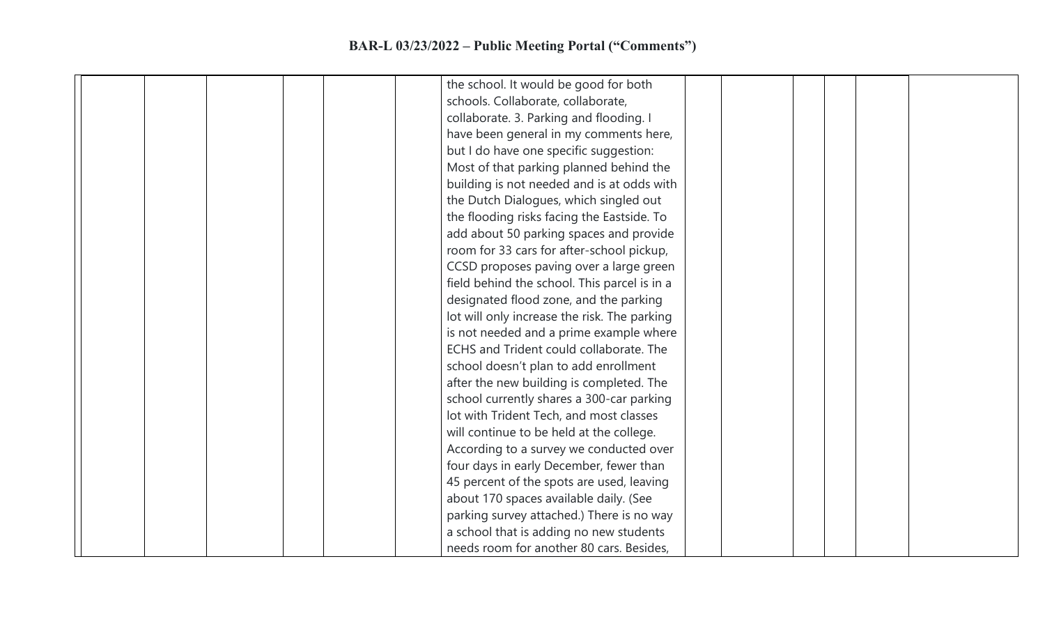| the school. It would be good for both        |
|----------------------------------------------|
| schools. Collaborate, collaborate,           |
| collaborate. 3. Parking and flooding. I      |
| have been general in my comments here,       |
| but I do have one specific suggestion:       |
| Most of that parking planned behind the      |
| building is not needed and is at odds with   |
| the Dutch Dialogues, which singled out       |
| the flooding risks facing the Eastside. To   |
| add about 50 parking spaces and provide      |
| room for 33 cars for after-school pickup,    |
| CCSD proposes paving over a large green      |
| field behind the school. This parcel is in a |
| designated flood zone, and the parking       |
| lot will only increase the risk. The parking |
| is not needed and a prime example where      |
| ECHS and Trident could collaborate. The      |
| school doesn't plan to add enrollment        |
| after the new building is completed. The     |
| school currently shares a 300-car parking    |
| lot with Trident Tech, and most classes      |
| will continue to be held at the college.     |
| According to a survey we conducted over      |
| four days in early December, fewer than      |
| 45 percent of the spots are used, leaving    |
| about 170 spaces available daily. (See       |
| parking survey attached.) There is no way    |
| a school that is adding no new students      |
| needs room for another 80 cars. Besides,     |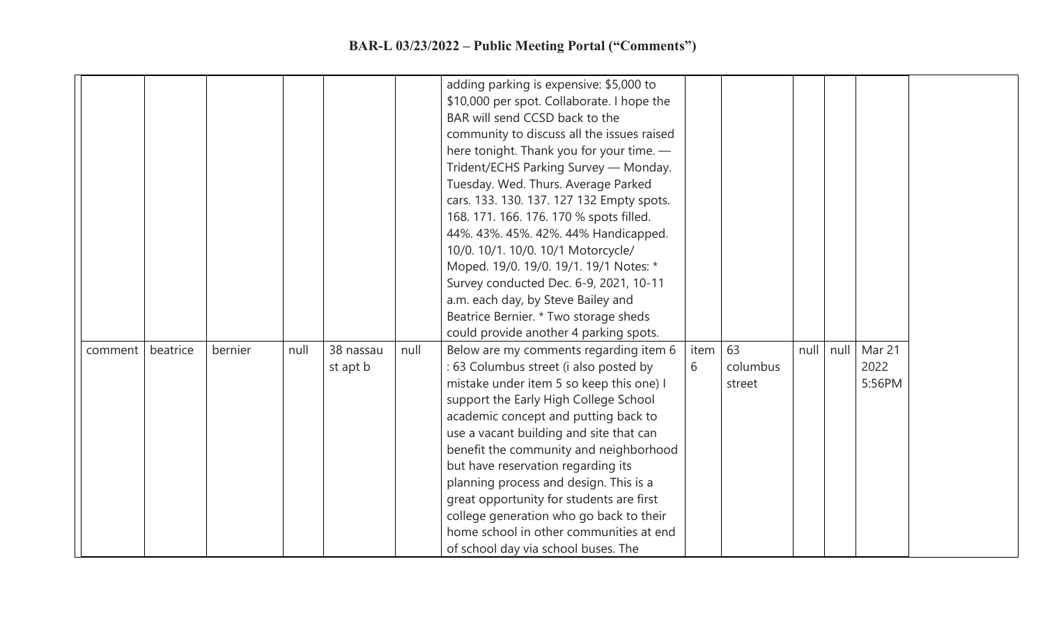|         |          |         |      |                       |      | adding parking is expensive: \$5,000 to<br>\$10,000 per spot. Collaborate. I hope the<br>BAR will send CCSD back to the<br>community to discuss all the issues raised<br>here tonight. Thank you for your time. -<br>Trident/ECHS Parking Survey - Monday.<br>Tuesday. Wed. Thurs. Average Parked<br>cars. 133. 130. 137. 127 132 Empty spots.<br>168. 171. 166. 176. 170 % spots filled.<br>44%. 43%. 45%. 42%. 44% Handicapped.<br>10/0. 10/1. 10/0. 10/1 Motorcycle/<br>Moped. 19/0. 19/0. 19/1. 19/1 Notes: *<br>Survey conducted Dec. 6-9, 2021, 10-11<br>a.m. each day, by Steve Bailey and<br>Beatrice Bernier. * Two storage sheds<br>could provide another 4 parking spots. |           |                          |      |      |                          |
|---------|----------|---------|------|-----------------------|------|--------------------------------------------------------------------------------------------------------------------------------------------------------------------------------------------------------------------------------------------------------------------------------------------------------------------------------------------------------------------------------------------------------------------------------------------------------------------------------------------------------------------------------------------------------------------------------------------------------------------------------------------------------------------------------------|-----------|--------------------------|------|------|--------------------------|
| comment | beatrice | bernier | null | 38 nassau<br>st apt b | null | Below are my comments regarding item 6<br>: 63 Columbus street (i also posted by<br>mistake under item 5 so keep this one) I<br>support the Early High College School<br>academic concept and putting back to<br>use a vacant building and site that can<br>benefit the community and neighborhood<br>but have reservation regarding its<br>planning process and design. This is a<br>great opportunity for students are first<br>college generation who go back to their<br>home school in other communities at end<br>of school day via school buses. The                                                                                                                          | item<br>6 | 63<br>columbus<br>street | null | null | Mar 21<br>2022<br>5:56PM |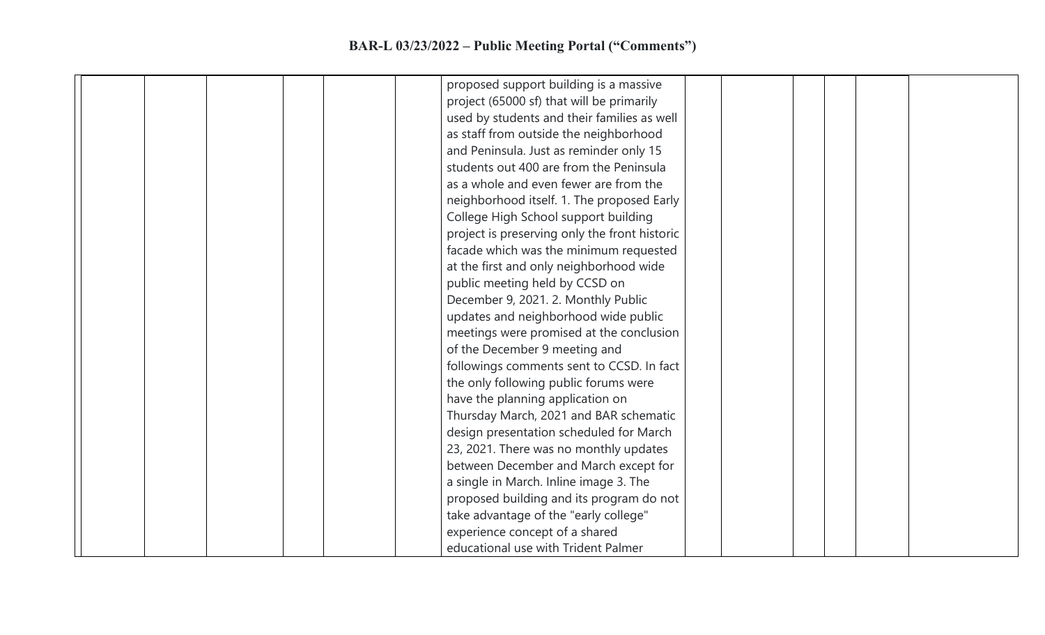|  | proposed support building is a massive        |  |  |
|--|-----------------------------------------------|--|--|
|  | project (65000 sf) that will be primarily     |  |  |
|  | used by students and their families as well   |  |  |
|  | as staff from outside the neighborhood        |  |  |
|  | and Peninsula. Just as reminder only 15       |  |  |
|  | students out 400 are from the Peninsula       |  |  |
|  | as a whole and even fewer are from the        |  |  |
|  | neighborhood itself. 1. The proposed Early    |  |  |
|  | College High School support building          |  |  |
|  | project is preserving only the front historic |  |  |
|  | facade which was the minimum requested        |  |  |
|  | at the first and only neighborhood wide       |  |  |
|  | public meeting held by CCSD on                |  |  |
|  | December 9, 2021. 2. Monthly Public           |  |  |
|  | updates and neighborhood wide public          |  |  |
|  | meetings were promised at the conclusion      |  |  |
|  | of the December 9 meeting and                 |  |  |
|  | followings comments sent to CCSD. In fact     |  |  |
|  | the only following public forums were         |  |  |
|  | have the planning application on              |  |  |
|  | Thursday March, 2021 and BAR schematic        |  |  |
|  | design presentation scheduled for March       |  |  |
|  | 23, 2021. There was no monthly updates        |  |  |
|  | between December and March except for         |  |  |
|  | a single in March. Inline image 3. The        |  |  |
|  | proposed building and its program do not      |  |  |
|  | take advantage of the "early college"         |  |  |
|  | experience concept of a shared                |  |  |
|  | educational use with Trident Palmer           |  |  |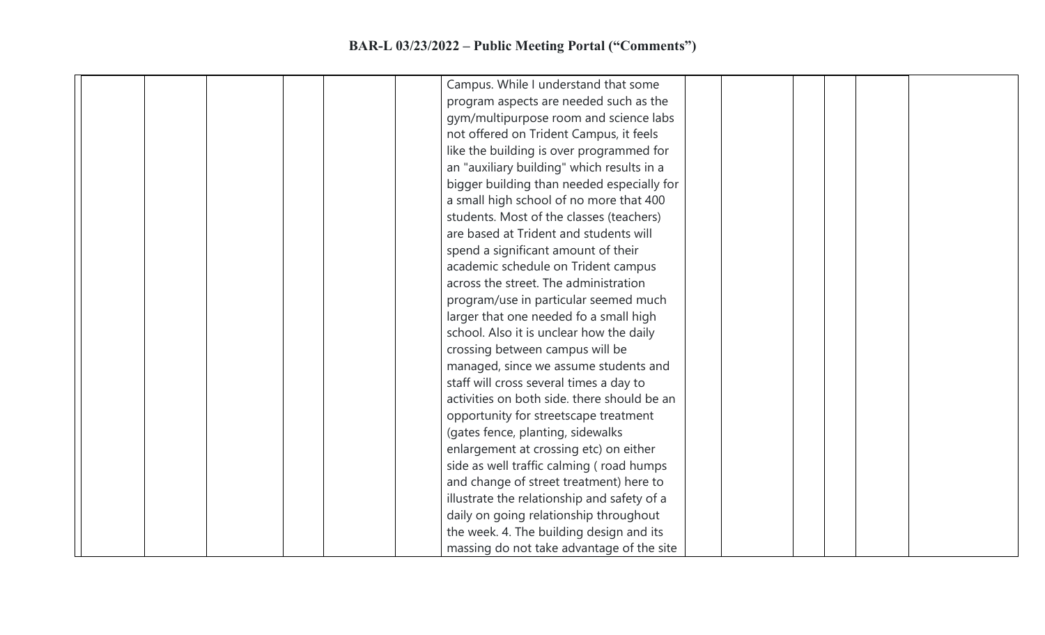| Campus. While I understand that some        |
|---------------------------------------------|
| program aspects are needed such as the      |
| gym/multipurpose room and science labs      |
|                                             |
| not offered on Trident Campus, it feels     |
| like the building is over programmed for    |
| an "auxiliary building" which results in a  |
| bigger building than needed especially for  |
| a small high school of no more that 400     |
| students. Most of the classes (teachers)    |
| are based at Trident and students will      |
| spend a significant amount of their         |
| academic schedule on Trident campus         |
| across the street. The administration       |
| program/use in particular seemed much       |
| larger that one needed fo a small high      |
| school. Also it is unclear how the daily    |
| crossing between campus will be             |
| managed, since we assume students and       |
| staff will cross several times a day to     |
| activities on both side, there should be an |
| opportunity for streetscape treatment       |
| (gates fence, planting, sidewalks           |
| enlargement at crossing etc) on either      |
| side as well traffic calming (road humps    |
| and change of street treatment) here to     |
| illustrate the relationship and safety of a |
| daily on going relationship throughout      |
| the week. 4. The building design and its    |
|                                             |
| massing do not take advantage of the site   |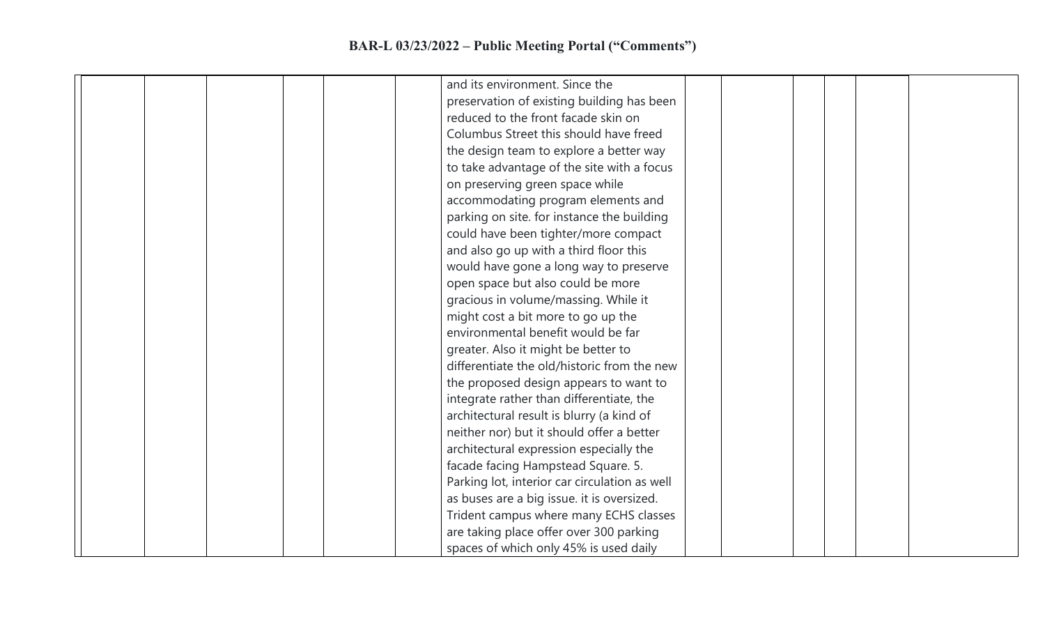| and its environment. Since the                |
|-----------------------------------------------|
| preservation of existing building has been    |
| reduced to the front facade skin on           |
| Columbus Street this should have freed        |
| the design team to explore a better way       |
| to take advantage of the site with a focus    |
| on preserving green space while               |
| accommodating program elements and            |
| parking on site. for instance the building    |
| could have been tighter/more compact          |
| and also go up with a third floor this        |
| would have gone a long way to preserve        |
| open space but also could be more             |
| gracious in volume/massing. While it          |
| might cost a bit more to go up the            |
| environmental benefit would be far            |
| greater. Also it might be better to           |
| differentiate the old/historic from the new   |
| the proposed design appears to want to        |
| integrate rather than differentiate, the      |
| architectural result is blurry (a kind of     |
| neither nor) but it should offer a better     |
| architectural expression especially the       |
| facade facing Hampstead Square. 5.            |
| Parking lot, interior car circulation as well |
| as buses are a big issue. it is oversized.    |
| Trident campus where many ECHS classes        |
| are taking place offer over 300 parking       |
| spaces of which only 45% is used daily        |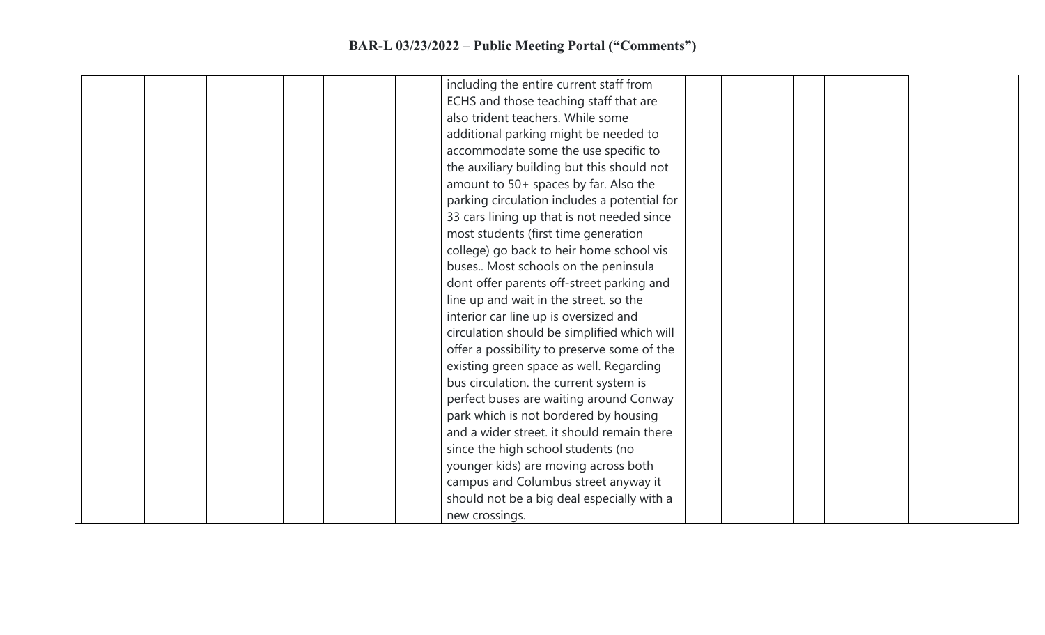| including the entire current staff from      |  |  |
|----------------------------------------------|--|--|
| ECHS and those teaching staff that are       |  |  |
| also trident teachers. While some            |  |  |
| additional parking might be needed to        |  |  |
| accommodate some the use specific to         |  |  |
| the auxiliary building but this should not   |  |  |
| amount to 50+ spaces by far. Also the        |  |  |
| parking circulation includes a potential for |  |  |
| 33 cars lining up that is not needed since   |  |  |
| most students (first time generation         |  |  |
| college) go back to heir home school vis     |  |  |
| buses Most schools on the peninsula          |  |  |
| dont offer parents off-street parking and    |  |  |
| line up and wait in the street. so the       |  |  |
| interior car line up is oversized and        |  |  |
| circulation should be simplified which will  |  |  |
| offer a possibility to preserve some of the  |  |  |
| existing green space as well. Regarding      |  |  |
| bus circulation. the current system is       |  |  |
| perfect buses are waiting around Conway      |  |  |
| park which is not bordered by housing        |  |  |
| and a wider street. it should remain there   |  |  |
| since the high school students (no           |  |  |
| younger kids) are moving across both         |  |  |
| campus and Columbus street anyway it         |  |  |
| should not be a big deal especially with a   |  |  |
| new crossings.                               |  |  |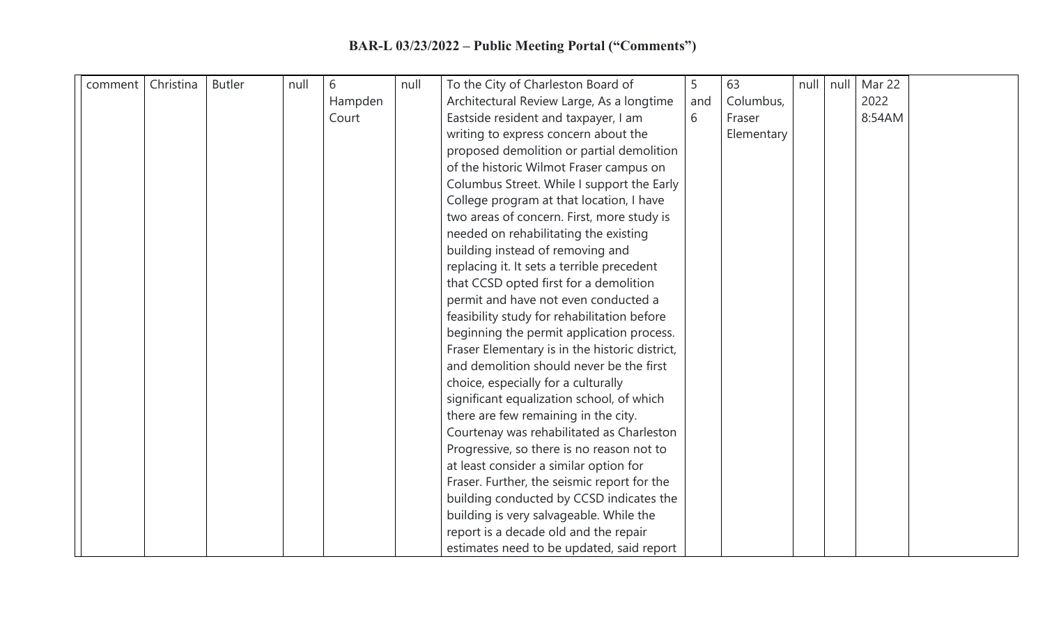| comment | Christina | <b>Butler</b> | null | 6       | null | To the City of Charleston Board of             | 5   | 63         | null | null | Mar 22 |  |
|---------|-----------|---------------|------|---------|------|------------------------------------------------|-----|------------|------|------|--------|--|
|         |           |               |      | Hampden |      | Architectural Review Large, As a longtime      | and | Columbus,  |      |      | 2022   |  |
|         |           |               |      | Court   |      | Eastside resident and taxpayer, I am           | 6   | Fraser     |      |      | 8:54AM |  |
|         |           |               |      |         |      | writing to express concern about the           |     | Elementary |      |      |        |  |
|         |           |               |      |         |      | proposed demolition or partial demolition      |     |            |      |      |        |  |
|         |           |               |      |         |      | of the historic Wilmot Fraser campus on        |     |            |      |      |        |  |
|         |           |               |      |         |      | Columbus Street. While I support the Early     |     |            |      |      |        |  |
|         |           |               |      |         |      | College program at that location, I have       |     |            |      |      |        |  |
|         |           |               |      |         |      | two areas of concern. First, more study is     |     |            |      |      |        |  |
|         |           |               |      |         |      | needed on rehabilitating the existing          |     |            |      |      |        |  |
|         |           |               |      |         |      | building instead of removing and               |     |            |      |      |        |  |
|         |           |               |      |         |      | replacing it. It sets a terrible precedent     |     |            |      |      |        |  |
|         |           |               |      |         |      | that CCSD opted first for a demolition         |     |            |      |      |        |  |
|         |           |               |      |         |      | permit and have not even conducted a           |     |            |      |      |        |  |
|         |           |               |      |         |      | feasibility study for rehabilitation before    |     |            |      |      |        |  |
|         |           |               |      |         |      | beginning the permit application process.      |     |            |      |      |        |  |
|         |           |               |      |         |      | Fraser Elementary is in the historic district, |     |            |      |      |        |  |
|         |           |               |      |         |      | and demolition should never be the first       |     |            |      |      |        |  |
|         |           |               |      |         |      | choice, especially for a culturally            |     |            |      |      |        |  |
|         |           |               |      |         |      | significant equalization school, of which      |     |            |      |      |        |  |
|         |           |               |      |         |      | there are few remaining in the city.           |     |            |      |      |        |  |
|         |           |               |      |         |      | Courtenay was rehabilitated as Charleston      |     |            |      |      |        |  |
|         |           |               |      |         |      | Progressive, so there is no reason not to      |     |            |      |      |        |  |
|         |           |               |      |         |      | at least consider a similar option for         |     |            |      |      |        |  |
|         |           |               |      |         |      | Fraser. Further, the seismic report for the    |     |            |      |      |        |  |
|         |           |               |      |         |      | building conducted by CCSD indicates the       |     |            |      |      |        |  |
|         |           |               |      |         |      | building is very salvageable. While the        |     |            |      |      |        |  |
|         |           |               |      |         |      | report is a decade old and the repair          |     |            |      |      |        |  |
|         |           |               |      |         |      | estimates need to be updated, said report      |     |            |      |      |        |  |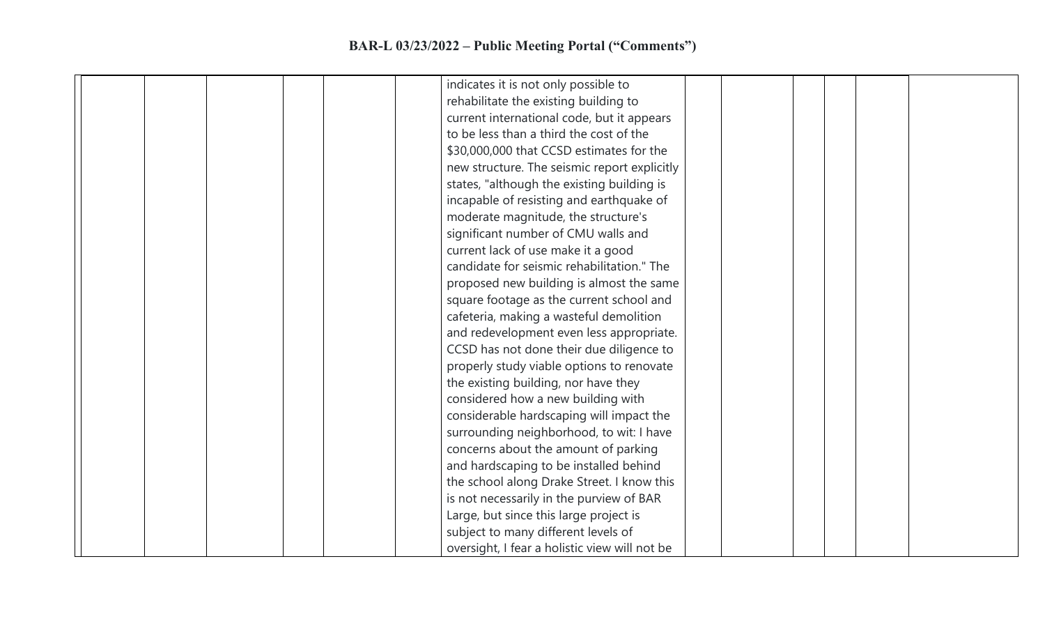| indicates it is not only possible to          |
|-----------------------------------------------|
| rehabilitate the existing building to         |
| current international code, but it appears    |
| to be less than a third the cost of the       |
| \$30,000,000 that CCSD estimates for the      |
| new structure. The seismic report explicitly  |
| states, "although the existing building is    |
| incapable of resisting and earthquake of      |
| moderate magnitude, the structure's           |
| significant number of CMU walls and           |
| current lack of use make it a good            |
| candidate for seismic rehabilitation." The    |
| proposed new building is almost the same      |
| square footage as the current school and      |
| cafeteria, making a wasteful demolition       |
| and redevelopment even less appropriate.      |
| CCSD has not done their due diligence to      |
| properly study viable options to renovate     |
| the existing building, nor have they          |
| considered how a new building with            |
| considerable hardscaping will impact the      |
| surrounding neighborhood, to wit: I have      |
| concerns about the amount of parking          |
| and hardscaping to be installed behind        |
| the school along Drake Street. I know this    |
| is not necessarily in the purview of BAR      |
| Large, but since this large project is        |
| subject to many different levels of           |
| oversight, I fear a holistic view will not be |